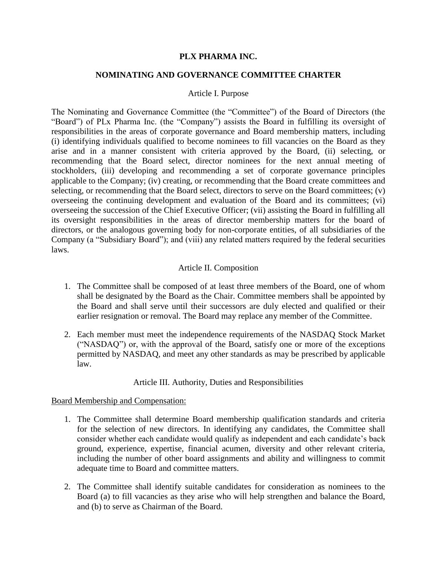### **PLX PHARMA INC.**

## **NOMINATING AND GOVERNANCE COMMITTEE CHARTER**

#### Article I. Purpose

The Nominating and Governance Committee (the "Committee") of the Board of Directors (the "Board") of PLx Pharma Inc. (the "Company") assists the Board in fulfilling its oversight of responsibilities in the areas of corporate governance and Board membership matters, including (i) identifying individuals qualified to become nominees to fill vacancies on the Board as they arise and in a manner consistent with criteria approved by the Board, (ii) selecting, or recommending that the Board select, director nominees for the next annual meeting of stockholders, (iii) developing and recommending a set of corporate governance principles applicable to the Company; (iv) creating, or recommending that the Board create committees and selecting, or recommending that the Board select, directors to serve on the Board committees; (v) overseeing the continuing development and evaluation of the Board and its committees; (vi) overseeing the succession of the Chief Executive Officer; (vii) assisting the Board in fulfilling all its oversight responsibilities in the areas of director membership matters for the board of directors, or the analogous governing body for non-corporate entities, of all subsidiaries of the Company (a "Subsidiary Board"); and (viii) any related matters required by the federal securities laws.

### Article II. Composition

- 1. The Committee shall be composed of at least three members of the Board, one of whom shall be designated by the Board as the Chair. Committee members shall be appointed by the Board and shall serve until their successors are duly elected and qualified or their earlier resignation or removal. The Board may replace any member of the Committee.
- 2. Each member must meet the independence requirements of the NASDAQ Stock Market ("NASDAQ") or, with the approval of the Board, satisfy one or more of the exceptions permitted by NASDAQ, and meet any other standards as may be prescribed by applicable law.

# Article III. Authority, Duties and Responsibilities

#### Board Membership and Compensation:

- 1. The Committee shall determine Board membership qualification standards and criteria for the selection of new directors. In identifying any candidates, the Committee shall consider whether each candidate would qualify as independent and each candidate's back ground, experience, expertise, financial acumen, diversity and other relevant criteria, including the number of other board assignments and ability and willingness to commit adequate time to Board and committee matters.
- 2. The Committee shall identify suitable candidates for consideration as nominees to the Board (a) to fill vacancies as they arise who will help strengthen and balance the Board, and (b) to serve as Chairman of the Board.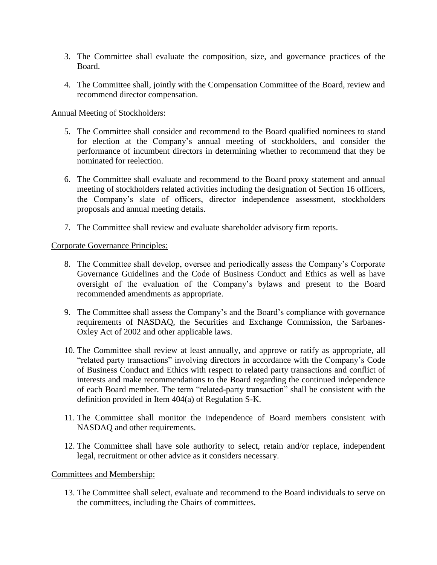- 3. The Committee shall evaluate the composition, size, and governance practices of the Board.
- 4. The Committee shall, jointly with the Compensation Committee of the Board, review and recommend director compensation.

Annual Meeting of Stockholders:

- 5. The Committee shall consider and recommend to the Board qualified nominees to stand for election at the Company's annual meeting of stockholders, and consider the performance of incumbent directors in determining whether to recommend that they be nominated for reelection.
- 6. The Committee shall evaluate and recommend to the Board proxy statement and annual meeting of stockholders related activities including the designation of Section 16 officers, the Company's slate of officers, director independence assessment, stockholders proposals and annual meeting details.
- 7. The Committee shall review and evaluate shareholder advisory firm reports.

Corporate Governance Principles:

- 8. The Committee shall develop, oversee and periodically assess the Company's Corporate Governance Guidelines and the Code of Business Conduct and Ethics as well as have oversight of the evaluation of the Company's bylaws and present to the Board recommended amendments as appropriate.
- 9. The Committee shall assess the Company's and the Board's compliance with governance requirements of NASDAQ, the Securities and Exchange Commission, the Sarbanes-Oxley Act of 2002 and other applicable laws.
- 10. The Committee shall review at least annually, and approve or ratify as appropriate, all "related party transactions" involving directors in accordance with the Company's Code of Business Conduct and Ethics with respect to related party transactions and conflict of interests and make recommendations to the Board regarding the continued independence of each Board member. The term "related-party transaction" shall be consistent with the definition provided in Item 404(a) of Regulation S-K.
- 11. The Committee shall monitor the independence of Board members consistent with NASDAQ and other requirements.
- 12. The Committee shall have sole authority to select, retain and/or replace, independent legal, recruitment or other advice as it considers necessary.

Committees and Membership:

13. The Committee shall select, evaluate and recommend to the Board individuals to serve on the committees, including the Chairs of committees.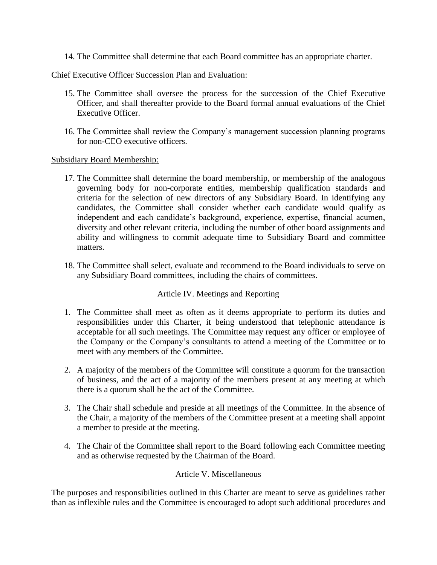14. The Committee shall determine that each Board committee has an appropriate charter.

# Chief Executive Officer Succession Plan and Evaluation:

- 15. The Committee shall oversee the process for the succession of the Chief Executive Officer, and shall thereafter provide to the Board formal annual evaluations of the Chief Executive Officer.
- 16. The Committee shall review the Company's management succession planning programs for non-CEO executive officers.

# Subsidiary Board Membership:

- 17. The Committee shall determine the board membership, or membership of the analogous governing body for non-corporate entities, membership qualification standards and criteria for the selection of new directors of any Subsidiary Board. In identifying any candidates, the Committee shall consider whether each candidate would qualify as independent and each candidate's background, experience, expertise, financial acumen, diversity and other relevant criteria, including the number of other board assignments and ability and willingness to commit adequate time to Subsidiary Board and committee matters.
- 18. The Committee shall select, evaluate and recommend to the Board individuals to serve on any Subsidiary Board committees, including the chairs of committees.

# Article IV. Meetings and Reporting

- 1. The Committee shall meet as often as it deems appropriate to perform its duties and responsibilities under this Charter, it being understood that telephonic attendance is acceptable for all such meetings. The Committee may request any officer or employee of the Company or the Company's consultants to attend a meeting of the Committee or to meet with any members of the Committee.
- 2. A majority of the members of the Committee will constitute a quorum for the transaction of business, and the act of a majority of the members present at any meeting at which there is a quorum shall be the act of the Committee.
- 3. The Chair shall schedule and preside at all meetings of the Committee. In the absence of the Chair, a majority of the members of the Committee present at a meeting shall appoint a member to preside at the meeting.
- 4. The Chair of the Committee shall report to the Board following each Committee meeting and as otherwise requested by the Chairman of the Board.

# Article V. Miscellaneous

The purposes and responsibilities outlined in this Charter are meant to serve as guidelines rather than as inflexible rules and the Committee is encouraged to adopt such additional procedures and